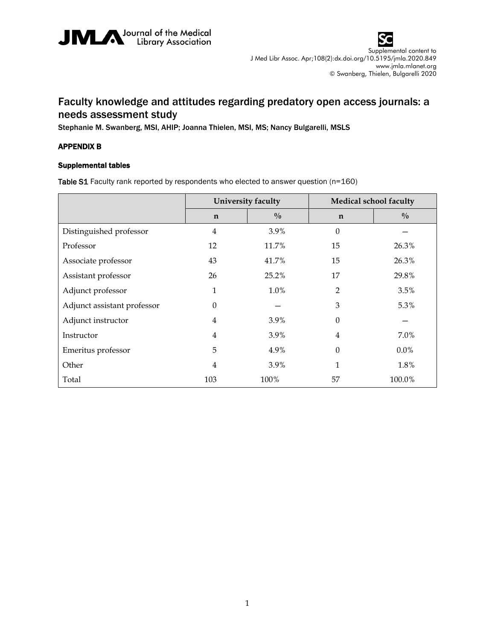



## Faculty knowledge and attitudes regarding predatory open access journals: a needs assessment study

Stephanie M. Swanberg, MSI, AHIP; Joanna Thielen, MSI, MS; Nancy Bulgarelli, MSLS

## APPENDIX B

## Supplemental tables

Table S1 Faculty rank reported by respondents who elected to answer question (n=160)

|                             | University faculty |               | Medical school faculty |               |
|-----------------------------|--------------------|---------------|------------------------|---------------|
|                             | $\mathbf n$        | $\frac{0}{0}$ | $\mathbf n$            | $\frac{0}{0}$ |
| Distinguished professor     | $\overline{4}$     | 3.9%          | $\Omega$               |               |
| Professor                   | 12                 | 11.7%         | 15                     | 26.3%         |
| Associate professor         | 43                 | 41.7%         | 15                     | 26.3%         |
| Assistant professor         | 26                 | 25.2%         | 17                     | 29.8%         |
| Adjunct professor           | 1                  | 1.0%          | 2                      | 3.5%          |
| Adjunct assistant professor | $\Omega$           |               | 3                      | 5.3%          |
| Adjunct instructor          | 4                  | 3.9%          | 0                      |               |
| Instructor                  | $\overline{4}$     | 3.9%          | 4                      | 7.0%          |
| Emeritus professor          | 5                  | 4.9%          | $\theta$               | $0.0\%$       |
| Other                       | $\overline{4}$     | 3.9%          | 1                      | 1.8%          |
| Total                       | 103                | 100%          | 57                     | 100.0%        |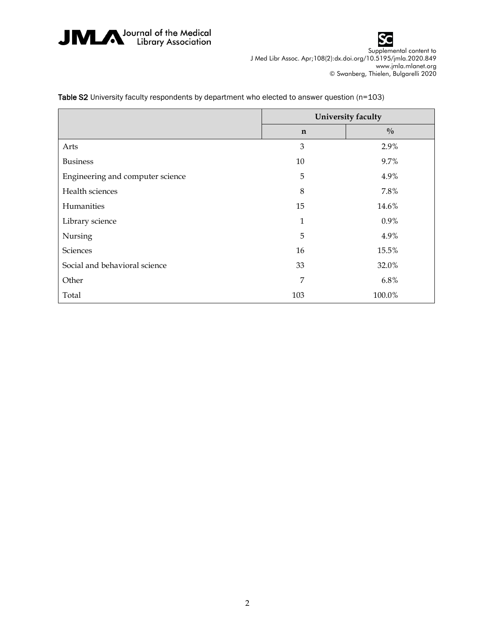



|                                  | University faculty |               |  |
|----------------------------------|--------------------|---------------|--|
|                                  | $\mathbf n$        | $\frac{0}{0}$ |  |
| Arts                             | 3                  | 2.9%          |  |
| <b>Business</b>                  | 10                 | 9.7%          |  |
| Engineering and computer science | 5                  | 4.9%          |  |
| Health sciences                  | 8                  | 7.8%          |  |
| Humanities                       | 15                 | 14.6%         |  |
| Library science                  | 1                  | 0.9%          |  |
| Nursing                          | 5                  | 4.9%          |  |
| Sciences                         | 16                 | 15.5%         |  |
| Social and behavioral science    | 33                 | 32.0%         |  |
| Other                            | 7                  | 6.8%          |  |
| Total                            | 103                | 100.0%        |  |

Table S2 University faculty respondents by department who elected to answer question (n=103)